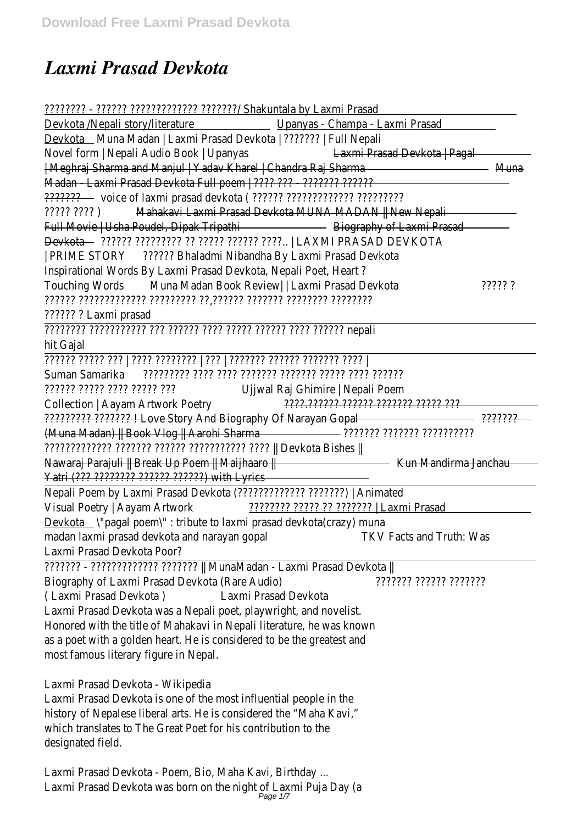## *Laxmi Prasad Devkota*

| Upanyas - Champa - Laxmi Prasad<br>Devkota __ Muna Madan   Laxmi Prasad Devkota   ???????   Full Nepali<br>Laxmi Prasad Devkota   Pagal<br>  Meghraj Sharma and Manjul   Yadav Kharel   Chandra Raj Sharma<br>Muna -<br>Mahakavi Laxmi Prasad Devkota MUNA MADAN   New Nepali<br><u>Biography of Laxmi Prasades and Series and Series and Series and Series and Series and Series and Series and S</u><br>Full Movie   Usha Poudel, Dipak Tripathi<br>Devkota — ??????? ????????? ?? ????? ?????? ????   LAXMI PRASAD DEVKOTA<br>?????? Bhaladmi Nibandha By Laxmi Prasad Devkota<br>  PRIME STORY<br>Inspirational Words By Laxmi Prasad Devkota, Nepali Poet, Heart?<br>Muna Madan Book Review   Laxmi Prasad Devkota<br><b>Touching Words</b><br>????? ?<br>ונומומר וממומר וממות ממות'ת מטומות וממותמות<br>?????? ? Laxmi prasad<br>nepali וְיִרְיִרְיִי וְיִרְיִי וְיִרְיִרְיִי וְיִרְיִרְי וְיִרְיִי וְיִרְיִרְיִי וְיִרְיִרְיִרְיִרְיִי וְיִרְיִרְיִרִי<br>hit Gajal<br>ן מִמְר מִמְמִמְר מִמְמִמְר מִמְמִמְרָ   מִרְ   מִמְמִמְרָך מִמְרָ   מִרְ מִמְרָך מִמְרָחֵרְ<br>Suman Samarika<br>Ujjwal Raj Ghimire   Nepali Poem<br>יִיִּרְ יִרְיִרְיָ יִרְיִרְי יִרְרִיךְ יִרְרִיךְיִ<br>Collection   Aayam Artwork Poetry<br><u>2222.222222 222222 2222222 22222 222</u><br>????????? ??????? I Love Story And Biography Of Narayan Gopal<br>2222222<br>(Muna Madan)    Book Vlog    Aarohi Sharma<br>Nawaraj Parajuli    Break Up Poem    Maijhaaro   <br><u> Kun Mandirma Janchau (Kun Mandirma Kun Mandirma Janchau</u><br>Yatri (??? ???????? ?????? ???????) with Lyrics<br>Nepali Poem by Laxmi Prasad Devkota (?????????????? ???????)   Animated<br>Visual Poetry   Aayam Artwork<br>  Laxmi Prasad<br><b>TKV Facts and Truth: Was</b><br>יוויוויו ווווויו ווווווי<br>Laxmi Prasad Devkota<br>Laxmi Prasad Devkota was a Nepali poet, playwright, and novelist.<br>Honored with the title of Mahakavi in Nepali literature, he was known<br>as a poet with a golden heart. He is considered to be the greatest and<br>most famous literary figure in Nepal.<br>Laxmi Prasad Devkota - Wikipedia<br>Laxmi Prasad Devkota is one of the most influential people in the<br>history of Nepalese liberal arts. He is considered the "Maha Kavi,"<br>which translates to The Great Poet for his contribution to the<br>Laxmi Prasad Devkota - Poem, Bio, Maha Kavi, Birthday<br>Laxmi Prasad Devkota was born on the night of Laxmi Puja Day (a<br>Page 1/7 |                                                                      |  |
|-----------------------------------------------------------------------------------------------------------------------------------------------------------------------------------------------------------------------------------------------------------------------------------------------------------------------------------------------------------------------------------------------------------------------------------------------------------------------------------------------------------------------------------------------------------------------------------------------------------------------------------------------------------------------------------------------------------------------------------------------------------------------------------------------------------------------------------------------------------------------------------------------------------------------------------------------------------------------------------------------------------------------------------------------------------------------------------------------------------------------------------------------------------------------------------------------------------------------------------------------------------------------------------------------------------------------------------------------------------------------------------------------------------------------------------------------------------------------------------------------------------------------------------------------------------------------------------------------------------------------------------------------------------------------------------------------------------------------------------------------------------------------------------------------------------------------------------------------------------------------------------------------------------------------------------------------------------------------------------------------------------------------------------------------------------------------------------------------------------------------------------------------------------------------------------------------------------------------------------------------------------------------------------------------------------------------------------------------------------------------------------------------------------------------------------------------------------------|----------------------------------------------------------------------|--|
|                                                                                                                                                                                                                                                                                                                                                                                                                                                                                                                                                                                                                                                                                                                                                                                                                                                                                                                                                                                                                                                                                                                                                                                                                                                                                                                                                                                                                                                                                                                                                                                                                                                                                                                                                                                                                                                                                                                                                                                                                                                                                                                                                                                                                                                                                                                                                                                                                                                                 | Devkota /Nepali story/literature                                     |  |
|                                                                                                                                                                                                                                                                                                                                                                                                                                                                                                                                                                                                                                                                                                                                                                                                                                                                                                                                                                                                                                                                                                                                                                                                                                                                                                                                                                                                                                                                                                                                                                                                                                                                                                                                                                                                                                                                                                                                                                                                                                                                                                                                                                                                                                                                                                                                                                                                                                                                 |                                                                      |  |
|                                                                                                                                                                                                                                                                                                                                                                                                                                                                                                                                                                                                                                                                                                                                                                                                                                                                                                                                                                                                                                                                                                                                                                                                                                                                                                                                                                                                                                                                                                                                                                                                                                                                                                                                                                                                                                                                                                                                                                                                                                                                                                                                                                                                                                                                                                                                                                                                                                                                 | Novel form   Nepali Audio Book   Upanyas                             |  |
|                                                                                                                                                                                                                                                                                                                                                                                                                                                                                                                                                                                                                                                                                                                                                                                                                                                                                                                                                                                                                                                                                                                                                                                                                                                                                                                                                                                                                                                                                                                                                                                                                                                                                                                                                                                                                                                                                                                                                                                                                                                                                                                                                                                                                                                                                                                                                                                                                                                                 |                                                                      |  |
|                                                                                                                                                                                                                                                                                                                                                                                                                                                                                                                                                                                                                                                                                                                                                                                                                                                                                                                                                                                                                                                                                                                                                                                                                                                                                                                                                                                                                                                                                                                                                                                                                                                                                                                                                                                                                                                                                                                                                                                                                                                                                                                                                                                                                                                                                                                                                                                                                                                                 | Madan - Laxmi Prasad Devkota Full poem   ???? ??? - ???????? ??????? |  |
|                                                                                                                                                                                                                                                                                                                                                                                                                                                                                                                                                                                                                                                                                                                                                                                                                                                                                                                                                                                                                                                                                                                                                                                                                                                                                                                                                                                                                                                                                                                                                                                                                                                                                                                                                                                                                                                                                                                                                                                                                                                                                                                                                                                                                                                                                                                                                                                                                                                                 |                                                                      |  |
|                                                                                                                                                                                                                                                                                                                                                                                                                                                                                                                                                                                                                                                                                                                                                                                                                                                                                                                                                                                                                                                                                                                                                                                                                                                                                                                                                                                                                                                                                                                                                                                                                                                                                                                                                                                                                                                                                                                                                                                                                                                                                                                                                                                                                                                                                                                                                                                                                                                                 | ן זִיְזִי זְיִיְזִי                                                  |  |
|                                                                                                                                                                                                                                                                                                                                                                                                                                                                                                                                                                                                                                                                                                                                                                                                                                                                                                                                                                                                                                                                                                                                                                                                                                                                                                                                                                                                                                                                                                                                                                                                                                                                                                                                                                                                                                                                                                                                                                                                                                                                                                                                                                                                                                                                                                                                                                                                                                                                 |                                                                      |  |
|                                                                                                                                                                                                                                                                                                                                                                                                                                                                                                                                                                                                                                                                                                                                                                                                                                                                                                                                                                                                                                                                                                                                                                                                                                                                                                                                                                                                                                                                                                                                                                                                                                                                                                                                                                                                                                                                                                                                                                                                                                                                                                                                                                                                                                                                                                                                                                                                                                                                 |                                                                      |  |
|                                                                                                                                                                                                                                                                                                                                                                                                                                                                                                                                                                                                                                                                                                                                                                                                                                                                                                                                                                                                                                                                                                                                                                                                                                                                                                                                                                                                                                                                                                                                                                                                                                                                                                                                                                                                                                                                                                                                                                                                                                                                                                                                                                                                                                                                                                                                                                                                                                                                 |                                                                      |  |
|                                                                                                                                                                                                                                                                                                                                                                                                                                                                                                                                                                                                                                                                                                                                                                                                                                                                                                                                                                                                                                                                                                                                                                                                                                                                                                                                                                                                                                                                                                                                                                                                                                                                                                                                                                                                                                                                                                                                                                                                                                                                                                                                                                                                                                                                                                                                                                                                                                                                 |                                                                      |  |
|                                                                                                                                                                                                                                                                                                                                                                                                                                                                                                                                                                                                                                                                                                                                                                                                                                                                                                                                                                                                                                                                                                                                                                                                                                                                                                                                                                                                                                                                                                                                                                                                                                                                                                                                                                                                                                                                                                                                                                                                                                                                                                                                                                                                                                                                                                                                                                                                                                                                 |                                                                      |  |
|                                                                                                                                                                                                                                                                                                                                                                                                                                                                                                                                                                                                                                                                                                                                                                                                                                                                                                                                                                                                                                                                                                                                                                                                                                                                                                                                                                                                                                                                                                                                                                                                                                                                                                                                                                                                                                                                                                                                                                                                                                                                                                                                                                                                                                                                                                                                                                                                                                                                 |                                                                      |  |
|                                                                                                                                                                                                                                                                                                                                                                                                                                                                                                                                                                                                                                                                                                                                                                                                                                                                                                                                                                                                                                                                                                                                                                                                                                                                                                                                                                                                                                                                                                                                                                                                                                                                                                                                                                                                                                                                                                                                                                                                                                                                                                                                                                                                                                                                                                                                                                                                                                                                 |                                                                      |  |
|                                                                                                                                                                                                                                                                                                                                                                                                                                                                                                                                                                                                                                                                                                                                                                                                                                                                                                                                                                                                                                                                                                                                                                                                                                                                                                                                                                                                                                                                                                                                                                                                                                                                                                                                                                                                                                                                                                                                                                                                                                                                                                                                                                                                                                                                                                                                                                                                                                                                 |                                                                      |  |
|                                                                                                                                                                                                                                                                                                                                                                                                                                                                                                                                                                                                                                                                                                                                                                                                                                                                                                                                                                                                                                                                                                                                                                                                                                                                                                                                                                                                                                                                                                                                                                                                                                                                                                                                                                                                                                                                                                                                                                                                                                                                                                                                                                                                                                                                                                                                                                                                                                                                 |                                                                      |  |
|                                                                                                                                                                                                                                                                                                                                                                                                                                                                                                                                                                                                                                                                                                                                                                                                                                                                                                                                                                                                                                                                                                                                                                                                                                                                                                                                                                                                                                                                                                                                                                                                                                                                                                                                                                                                                                                                                                                                                                                                                                                                                                                                                                                                                                                                                                                                                                                                                                                                 |                                                                      |  |
|                                                                                                                                                                                                                                                                                                                                                                                                                                                                                                                                                                                                                                                                                                                                                                                                                                                                                                                                                                                                                                                                                                                                                                                                                                                                                                                                                                                                                                                                                                                                                                                                                                                                                                                                                                                                                                                                                                                                                                                                                                                                                                                                                                                                                                                                                                                                                                                                                                                                 |                                                                      |  |
|                                                                                                                                                                                                                                                                                                                                                                                                                                                                                                                                                                                                                                                                                                                                                                                                                                                                                                                                                                                                                                                                                                                                                                                                                                                                                                                                                                                                                                                                                                                                                                                                                                                                                                                                                                                                                                                                                                                                                                                                                                                                                                                                                                                                                                                                                                                                                                                                                                                                 |                                                                      |  |
|                                                                                                                                                                                                                                                                                                                                                                                                                                                                                                                                                                                                                                                                                                                                                                                                                                                                                                                                                                                                                                                                                                                                                                                                                                                                                                                                                                                                                                                                                                                                                                                                                                                                                                                                                                                                                                                                                                                                                                                                                                                                                                                                                                                                                                                                                                                                                                                                                                                                 |                                                                      |  |
|                                                                                                                                                                                                                                                                                                                                                                                                                                                                                                                                                                                                                                                                                                                                                                                                                                                                                                                                                                                                                                                                                                                                                                                                                                                                                                                                                                                                                                                                                                                                                                                                                                                                                                                                                                                                                                                                                                                                                                                                                                                                                                                                                                                                                                                                                                                                                                                                                                                                 |                                                                      |  |
|                                                                                                                                                                                                                                                                                                                                                                                                                                                                                                                                                                                                                                                                                                                                                                                                                                                                                                                                                                                                                                                                                                                                                                                                                                                                                                                                                                                                                                                                                                                                                                                                                                                                                                                                                                                                                                                                                                                                                                                                                                                                                                                                                                                                                                                                                                                                                                                                                                                                 |                                                                      |  |
|                                                                                                                                                                                                                                                                                                                                                                                                                                                                                                                                                                                                                                                                                                                                                                                                                                                                                                                                                                                                                                                                                                                                                                                                                                                                                                                                                                                                                                                                                                                                                                                                                                                                                                                                                                                                                                                                                                                                                                                                                                                                                                                                                                                                                                                                                                                                                                                                                                                                 |                                                                      |  |
|                                                                                                                                                                                                                                                                                                                                                                                                                                                                                                                                                                                                                                                                                                                                                                                                                                                                                                                                                                                                                                                                                                                                                                                                                                                                                                                                                                                                                                                                                                                                                                                                                                                                                                                                                                                                                                                                                                                                                                                                                                                                                                                                                                                                                                                                                                                                                                                                                                                                 |                                                                      |  |
|                                                                                                                                                                                                                                                                                                                                                                                                                                                                                                                                                                                                                                                                                                                                                                                                                                                                                                                                                                                                                                                                                                                                                                                                                                                                                                                                                                                                                                                                                                                                                                                                                                                                                                                                                                                                                                                                                                                                                                                                                                                                                                                                                                                                                                                                                                                                                                                                                                                                 |                                                                      |  |
|                                                                                                                                                                                                                                                                                                                                                                                                                                                                                                                                                                                                                                                                                                                                                                                                                                                                                                                                                                                                                                                                                                                                                                                                                                                                                                                                                                                                                                                                                                                                                                                                                                                                                                                                                                                                                                                                                                                                                                                                                                                                                                                                                                                                                                                                                                                                                                                                                                                                 |                                                                      |  |
|                                                                                                                                                                                                                                                                                                                                                                                                                                                                                                                                                                                                                                                                                                                                                                                                                                                                                                                                                                                                                                                                                                                                                                                                                                                                                                                                                                                                                                                                                                                                                                                                                                                                                                                                                                                                                                                                                                                                                                                                                                                                                                                                                                                                                                                                                                                                                                                                                                                                 |                                                                      |  |
|                                                                                                                                                                                                                                                                                                                                                                                                                                                                                                                                                                                                                                                                                                                                                                                                                                                                                                                                                                                                                                                                                                                                                                                                                                                                                                                                                                                                                                                                                                                                                                                                                                                                                                                                                                                                                                                                                                                                                                                                                                                                                                                                                                                                                                                                                                                                                                                                                                                                 |                                                                      |  |
|                                                                                                                                                                                                                                                                                                                                                                                                                                                                                                                                                                                                                                                                                                                                                                                                                                                                                                                                                                                                                                                                                                                                                                                                                                                                                                                                                                                                                                                                                                                                                                                                                                                                                                                                                                                                                                                                                                                                                                                                                                                                                                                                                                                                                                                                                                                                                                                                                                                                 | Devkota \'pagal poem\": tribute to laxmi prasad devkota(crazy) muna  |  |
|                                                                                                                                                                                                                                                                                                                                                                                                                                                                                                                                                                                                                                                                                                                                                                                                                                                                                                                                                                                                                                                                                                                                                                                                                                                                                                                                                                                                                                                                                                                                                                                                                                                                                                                                                                                                                                                                                                                                                                                                                                                                                                                                                                                                                                                                                                                                                                                                                                                                 | madan laxmi prasad devkota and narayan gopal                         |  |
|                                                                                                                                                                                                                                                                                                                                                                                                                                                                                                                                                                                                                                                                                                                                                                                                                                                                                                                                                                                                                                                                                                                                                                                                                                                                                                                                                                                                                                                                                                                                                                                                                                                                                                                                                                                                                                                                                                                                                                                                                                                                                                                                                                                                                                                                                                                                                                                                                                                                 | Laxmi Prasad Devkota Poor?                                           |  |
|                                                                                                                                                                                                                                                                                                                                                                                                                                                                                                                                                                                                                                                                                                                                                                                                                                                                                                                                                                                                                                                                                                                                                                                                                                                                                                                                                                                                                                                                                                                                                                                                                                                                                                                                                                                                                                                                                                                                                                                                                                                                                                                                                                                                                                                                                                                                                                                                                                                                 | ??????? - ????????????? ???????   MunaMadan - Laxmi Prasad Devkota   |  |
|                                                                                                                                                                                                                                                                                                                                                                                                                                                                                                                                                                                                                                                                                                                                                                                                                                                                                                                                                                                                                                                                                                                                                                                                                                                                                                                                                                                                                                                                                                                                                                                                                                                                                                                                                                                                                                                                                                                                                                                                                                                                                                                                                                                                                                                                                                                                                                                                                                                                 | Biography of Laxmi Prasad Devkota (Rare Audio)                       |  |
|                                                                                                                                                                                                                                                                                                                                                                                                                                                                                                                                                                                                                                                                                                                                                                                                                                                                                                                                                                                                                                                                                                                                                                                                                                                                                                                                                                                                                                                                                                                                                                                                                                                                                                                                                                                                                                                                                                                                                                                                                                                                                                                                                                                                                                                                                                                                                                                                                                                                 | (Laxmi Prasad Devkota)                                               |  |
|                                                                                                                                                                                                                                                                                                                                                                                                                                                                                                                                                                                                                                                                                                                                                                                                                                                                                                                                                                                                                                                                                                                                                                                                                                                                                                                                                                                                                                                                                                                                                                                                                                                                                                                                                                                                                                                                                                                                                                                                                                                                                                                                                                                                                                                                                                                                                                                                                                                                 |                                                                      |  |
|                                                                                                                                                                                                                                                                                                                                                                                                                                                                                                                                                                                                                                                                                                                                                                                                                                                                                                                                                                                                                                                                                                                                                                                                                                                                                                                                                                                                                                                                                                                                                                                                                                                                                                                                                                                                                                                                                                                                                                                                                                                                                                                                                                                                                                                                                                                                                                                                                                                                 |                                                                      |  |
|                                                                                                                                                                                                                                                                                                                                                                                                                                                                                                                                                                                                                                                                                                                                                                                                                                                                                                                                                                                                                                                                                                                                                                                                                                                                                                                                                                                                                                                                                                                                                                                                                                                                                                                                                                                                                                                                                                                                                                                                                                                                                                                                                                                                                                                                                                                                                                                                                                                                 |                                                                      |  |
|                                                                                                                                                                                                                                                                                                                                                                                                                                                                                                                                                                                                                                                                                                                                                                                                                                                                                                                                                                                                                                                                                                                                                                                                                                                                                                                                                                                                                                                                                                                                                                                                                                                                                                                                                                                                                                                                                                                                                                                                                                                                                                                                                                                                                                                                                                                                                                                                                                                                 |                                                                      |  |
|                                                                                                                                                                                                                                                                                                                                                                                                                                                                                                                                                                                                                                                                                                                                                                                                                                                                                                                                                                                                                                                                                                                                                                                                                                                                                                                                                                                                                                                                                                                                                                                                                                                                                                                                                                                                                                                                                                                                                                                                                                                                                                                                                                                                                                                                                                                                                                                                                                                                 |                                                                      |  |
|                                                                                                                                                                                                                                                                                                                                                                                                                                                                                                                                                                                                                                                                                                                                                                                                                                                                                                                                                                                                                                                                                                                                                                                                                                                                                                                                                                                                                                                                                                                                                                                                                                                                                                                                                                                                                                                                                                                                                                                                                                                                                                                                                                                                                                                                                                                                                                                                                                                                 |                                                                      |  |
|                                                                                                                                                                                                                                                                                                                                                                                                                                                                                                                                                                                                                                                                                                                                                                                                                                                                                                                                                                                                                                                                                                                                                                                                                                                                                                                                                                                                                                                                                                                                                                                                                                                                                                                                                                                                                                                                                                                                                                                                                                                                                                                                                                                                                                                                                                                                                                                                                                                                 |                                                                      |  |
|                                                                                                                                                                                                                                                                                                                                                                                                                                                                                                                                                                                                                                                                                                                                                                                                                                                                                                                                                                                                                                                                                                                                                                                                                                                                                                                                                                                                                                                                                                                                                                                                                                                                                                                                                                                                                                                                                                                                                                                                                                                                                                                                                                                                                                                                                                                                                                                                                                                                 |                                                                      |  |
|                                                                                                                                                                                                                                                                                                                                                                                                                                                                                                                                                                                                                                                                                                                                                                                                                                                                                                                                                                                                                                                                                                                                                                                                                                                                                                                                                                                                                                                                                                                                                                                                                                                                                                                                                                                                                                                                                                                                                                                                                                                                                                                                                                                                                                                                                                                                                                                                                                                                 |                                                                      |  |
|                                                                                                                                                                                                                                                                                                                                                                                                                                                                                                                                                                                                                                                                                                                                                                                                                                                                                                                                                                                                                                                                                                                                                                                                                                                                                                                                                                                                                                                                                                                                                                                                                                                                                                                                                                                                                                                                                                                                                                                                                                                                                                                                                                                                                                                                                                                                                                                                                                                                 | designated field.                                                    |  |
|                                                                                                                                                                                                                                                                                                                                                                                                                                                                                                                                                                                                                                                                                                                                                                                                                                                                                                                                                                                                                                                                                                                                                                                                                                                                                                                                                                                                                                                                                                                                                                                                                                                                                                                                                                                                                                                                                                                                                                                                                                                                                                                                                                                                                                                                                                                                                                                                                                                                 |                                                                      |  |
|                                                                                                                                                                                                                                                                                                                                                                                                                                                                                                                                                                                                                                                                                                                                                                                                                                                                                                                                                                                                                                                                                                                                                                                                                                                                                                                                                                                                                                                                                                                                                                                                                                                                                                                                                                                                                                                                                                                                                                                                                                                                                                                                                                                                                                                                                                                                                                                                                                                                 |                                                                      |  |
|                                                                                                                                                                                                                                                                                                                                                                                                                                                                                                                                                                                                                                                                                                                                                                                                                                                                                                                                                                                                                                                                                                                                                                                                                                                                                                                                                                                                                                                                                                                                                                                                                                                                                                                                                                                                                                                                                                                                                                                                                                                                                                                                                                                                                                                                                                                                                                                                                                                                 |                                                                      |  |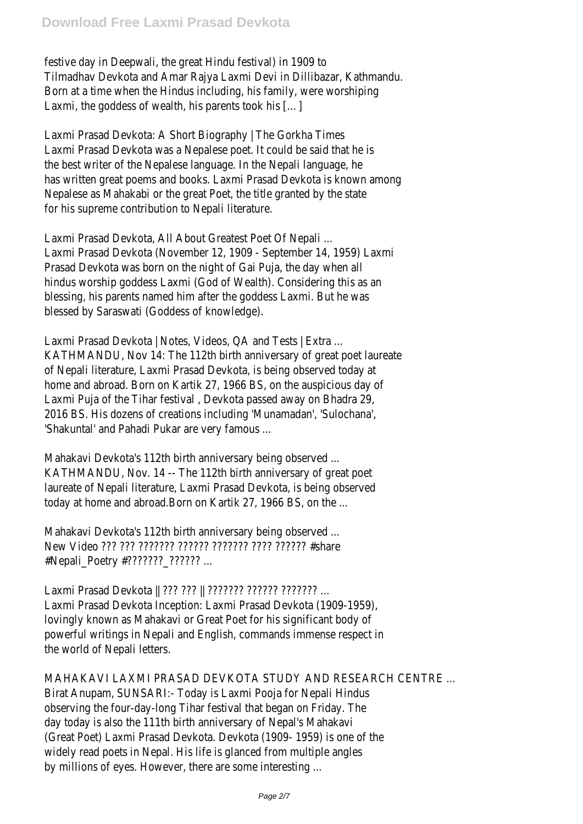festive day in Deepwali, the great Hindu festival) in 1909 to Tilmadhav Devkota and Amar Rajya Laxmi Devi in Dillibazar, Kathmandu. Born at a time when the Hindus including, his family, were worshiping Laxmi, the goddess of wealth, his parents took his […]

Laxmi Prasad Devkota: A Short Biography | The Gorkha Times Laxmi Prasad Devkota was a Nepalese poet. It could be said that he is the best writer of the Nepalese language. In the Nepali language, he has written great poems and books. Laxmi Prasad Devkota is known among Nepalese as Mahakabi or the great Poet, the title granted by the state for his supreme contribution to Nepali literature.

Laxmi Prasad Devkota, All About Greatest Poet Of Nepali ... Laxmi Prasad Devkota (November 12, 1909 - September 14, 1959) Laxmi Prasad Devkota was born on the night of Gai Puja, the day when all hindus worship goddess Laxmi (God of Wealth). Considering this as an blessing, his parents named him after the goddess Laxmi. But he was blessed by Saraswati (Goddess of knowledge).

Laxmi Prasad Devkota | Notes, Videos, QA and Tests | Extra ... KATHMANDU, Nov 14: The 112th birth anniversary of great poet laureate of Nepali literature, Laxmi Prasad Devkota, is being observed today at home and abroad. Born on Kartik 27, 1966 BS, on the auspicious day of Laxmi Puja of the Tihar festival , Devkota passed away on Bhadra 29, 2016 BS. His dozens of creations including 'Munamadan', 'Sulochana', 'Shakuntal' and Pahadi Pukar are very famous ...

Mahakavi Devkota's 112th birth anniversary being observed ... KATHMANDU, Nov. 14 -- The 112th birth anniversary of great poet laureate of Nepali literature, Laxmi Prasad Devkota, is being observed today at home and abroad.Born on Kartik 27, 1966 BS, on the ...

Mahakavi Devkota's 112th birth anniversary being observed ... New Video ??? ??? ??????? ?????? ??????? ???? ?????? #share #Nepali\_Poetry #??????? \_??????? ...

Laxmi Prasad Devkota || ??? ??? || ??????? ?????? ??????? ... Laxmi Prasad Devkota Inception: Laxmi Prasad Devkota (1909-1959), lovingly known as Mahakavi or Great Poet for his significant body of powerful writings in Nepali and English, commands immense respect in the world of Nepali letters.

MAHAKAVI LAXMI PRASAD DEVKOTA STUDY AND RESEARCH CENTRE ... Birat Anupam, SUNSARI:- Today is Laxmi Pooja for Nepali Hindus observing the four-day-long Tihar festival that began on Friday. The day today is also the 111th birth anniversary of Nepal's Mahakavi (Great Poet) Laxmi Prasad Devkota. Devkota (1909- 1959) is one of the widely read poets in Nepal. His life is glanced from multiple angles by millions of eyes. However, there are some interesting ...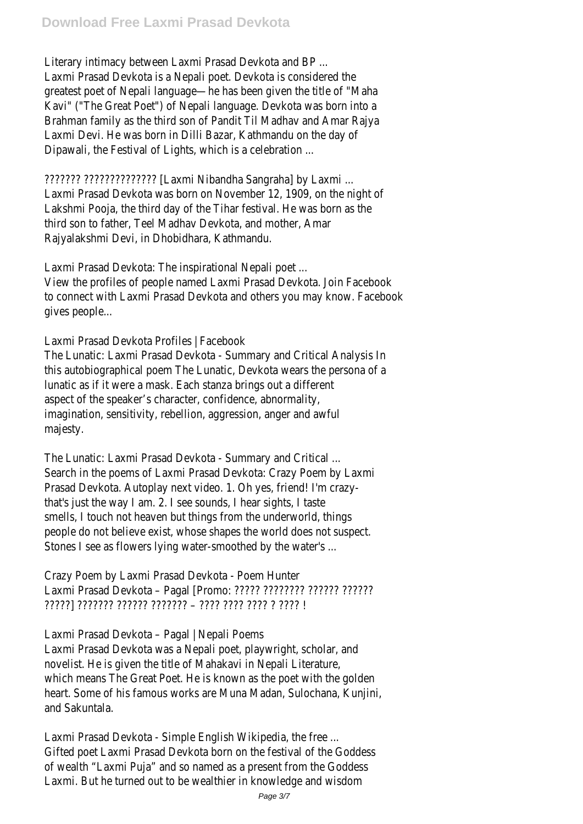Literary intimacy between Laxmi Prasad Devkota and BP ... Laxmi Prasad Devkota is a Nepali poet. Devkota is considered the greatest poet of Nepali language—he has been given the title of "Maha Kavi" ("The Great Poet") of Nepali language. Devkota was born into a Brahman family as the third son of Pandit Til Madhav and Amar Rajya Laxmi Devi. He was born in Dilli Bazar, Kathmandu on the day of Dipawali, the Festival of Lights, which is a celebration ...

??????? ?????????????? [Laxmi Nibandha Sangraha] by Laxmi ... Laxmi Prasad Devkota was born on November 12, 1909, on the night of Lakshmi Pooja, the third day of the Tihar festival. He was born as the third son to father, Teel Madhav Devkota, and mother, Amar Rajyalakshmi Devi, in Dhobidhara, Kathmandu.

Laxmi Prasad Devkota: The inspirational Nepali poet ... View the profiles of people named Laxmi Prasad Devkota. Join Facebook to connect with Laxmi Prasad Devkota and others you may know. Facebook gives people...

Laxmi Prasad Devkota Profiles | Facebook

The Lunatic: Laxmi Prasad Devkota - Summary and Critical Analysis In this autobiographical poem The Lunatic, Devkota wears the persona of a lunatic as if it were a mask. Each stanza brings out a different aspect of the speaker's character, confidence, abnormality, imagination, sensitivity, rebellion, aggression, anger and awful majesty.

The Lunatic: Laxmi Prasad Devkota - Summary and Critical ... Search in the poems of Laxmi Prasad Devkota: Crazy Poem by Laxmi Prasad Devkota. Autoplay next video. 1. Oh yes, friend! I'm crazythat's just the way I am. 2. I see sounds, I hear sights, I taste smells, I touch not heaven but things from the underworld, things people do not believe exist, whose shapes the world does not suspect. Stones I see as flowers lying water-smoothed by the water's ...

Crazy Poem by Laxmi Prasad Devkota - Poem Hunter Laxmi Prasad Devkota – Pagal [Promo: ????? ???????? ?????? ?????? ?????] ??????? ?????? ??????? – ???? ???? ???? ? ???? !

Laxmi Prasad Devkota – Pagal | Nepali Poems Laxmi Prasad Devkota was a Nepali poet, playwright, scholar, and novelist. He is given the title of Mahakavi in Nepali Literature, which means The Great Poet. He is known as the poet with the golden heart. Some of his famous works are Muna Madan, Sulochana, Kunjini, and Sakuntala.

Laxmi Prasad Devkota - Simple English Wikipedia, the free ... Gifted poet Laxmi Prasad Devkota born on the festival of the Goddess of wealth "Laxmi Puja" and so named as a present from the Goddess Laxmi. But he turned out to be wealthier in knowledge and wisdom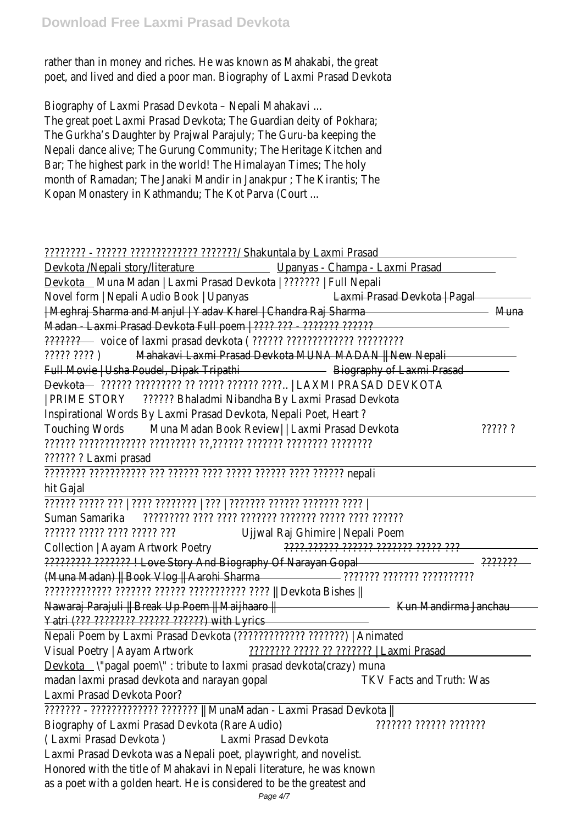rather than in money and riches. He was known as Mahakabi, the great poet, and lived and died a poor man. Biography of Laxmi Prasad Devkota

Biography of Laxmi Prasad Devkota – Nepali Mahakavi ... The great poet Laxmi Prasad Devkota; The Guardian deity of Pokhara; The Gurkha's Daughter by Prajwal Parajuly; The Guru-ba keeping the Nepali dance alive; The Gurung Community; The Heritage Kitchen and Bar; The highest park in the world! The Himalayan Times; The holy month of Ramadan; The Janaki Mandir in Janakpur ; The Kirantis; The Kopan Monastery in Kathmandu; The Kot Parva (Court ...

## ???????? - ?????? ????????????? ???????/ Shakuntala by Laxmi Prasad

| Devkota __ Muna Madan   Laxmi Prasad Devkota   ???????   Full Nepali<br>Novel form   Nepali Audio Book   Upanyas<br>Laxmi Prasad Devkota   Pagal<br>  Meghraj Sharma and Manjul   Yadav Kharel   Chandra Raj Sharma<br>Muna<br>Madan Laxmi Prasad Devkota Full poem   ???? ??? ???????? ???????<br>Mahakavi Laxmi Prasad Devkota MUNA MADAN   New Nepali<br>Biography of Laxmi Prasad<br>D <del>evkota — מאיזמ</del> ו־אַרְהַי מִיהוֹל הַיִּהוֹל הַיִּהוֹל (עַרְהוֹלְהוֹל בּוֹיִהוֹל – LAXMI PRASAD DEVKOTA<br>?????? Bhaladmi Nibandha By Laxmi Prasad Devkota<br>  PRIME STORY<br>Muna Madan Book Review   Laxmi Prasad Devkota<br>? ?????<br>Ujjwal Raj Ghimire   Nepali Poem<br>????.?????? ?????? ??????? ????? ???<br>????????? ??????? I Love Story And Biography Of Narayan Gopal<br><u>יוויוויוויו ווויווי ווווווו ————————</u><br>(Muna Madan)    Book Vlog    Aarohi Sharma<br>ן Devkota Bishes    מְיִיִרְ מְיִיְרְיִרְיִרְיִרְיִרְ מְיִרְיִרְיִרְ מְיִרְיִרְיִרְ מְיִרְיִרְיִרְיִרְיִרְיִרְ<br>Nawaraj Parajuli    Break Up Poem    Maijhaaro   <br>Kun Mandirma Janchau<br>Yatri (??? ???????? ?????? ???????) with Lyrics<br>Nepali Poem by Laxmi Prasad Devkota (?????????????? ???????)   Animated<br>Visual Poetry   Aayam Artwork<br>Devkota \'pagal poem\": tribute to laxmi prasad devkota(crazy) muna<br>madan laxmi prasad devkota and narayan gopal<br><b>TKV Facts and Truth: Was</b><br>Laxmi Prasad Devkota Poor?<br>??????? - ????????????? ???????    MunaMadan - Laxmi Prasad Devkota   <br>Biography of Laxmi Prasad Devkota (Rare Audio)<br>וווווון וווווו וווווו<br>(Laxmi Prasad Devkota)<br>Laxmi Prasad Devkota | Upanyas - Champa - Laxmi Prasad<br>Devkota /Nepali story/literature                 |  |
|-----------------------------------------------------------------------------------------------------------------------------------------------------------------------------------------------------------------------------------------------------------------------------------------------------------------------------------------------------------------------------------------------------------------------------------------------------------------------------------------------------------------------------------------------------------------------------------------------------------------------------------------------------------------------------------------------------------------------------------------------------------------------------------------------------------------------------------------------------------------------------------------------------------------------------------------------------------------------------------------------------------------------------------------------------------------------------------------------------------------------------------------------------------------------------------------------------------------------------------------------------------------------------------------------------------------------------------------------------------------------------------------------------------------------------------------------------------------------------------------------------------------------------------------------------------------------------------------------------------------------------------------------------|-------------------------------------------------------------------------------------|--|
|                                                                                                                                                                                                                                                                                                                                                                                                                                                                                                                                                                                                                                                                                                                                                                                                                                                                                                                                                                                                                                                                                                                                                                                                                                                                                                                                                                                                                                                                                                                                                                                                                                                     |                                                                                     |  |
|                                                                                                                                                                                                                                                                                                                                                                                                                                                                                                                                                                                                                                                                                                                                                                                                                                                                                                                                                                                                                                                                                                                                                                                                                                                                                                                                                                                                                                                                                                                                                                                                                                                     |                                                                                     |  |
|                                                                                                                                                                                                                                                                                                                                                                                                                                                                                                                                                                                                                                                                                                                                                                                                                                                                                                                                                                                                                                                                                                                                                                                                                                                                                                                                                                                                                                                                                                                                                                                                                                                     |                                                                                     |  |
|                                                                                                                                                                                                                                                                                                                                                                                                                                                                                                                                                                                                                                                                                                                                                                                                                                                                                                                                                                                                                                                                                                                                                                                                                                                                                                                                                                                                                                                                                                                                                                                                                                                     |                                                                                     |  |
|                                                                                                                                                                                                                                                                                                                                                                                                                                                                                                                                                                                                                                                                                                                                                                                                                                                                                                                                                                                                                                                                                                                                                                                                                                                                                                                                                                                                                                                                                                                                                                                                                                                     |                                                                                     |  |
|                                                                                                                                                                                                                                                                                                                                                                                                                                                                                                                                                                                                                                                                                                                                                                                                                                                                                                                                                                                                                                                                                                                                                                                                                                                                                                                                                                                                                                                                                                                                                                                                                                                     | ן זִיְזִי זְיִזְיִי                                                                 |  |
|                                                                                                                                                                                                                                                                                                                                                                                                                                                                                                                                                                                                                                                                                                                                                                                                                                                                                                                                                                                                                                                                                                                                                                                                                                                                                                                                                                                                                                                                                                                                                                                                                                                     | Full Movie   Usha Poudel, Dipak Tripathi                                            |  |
|                                                                                                                                                                                                                                                                                                                                                                                                                                                                                                                                                                                                                                                                                                                                                                                                                                                                                                                                                                                                                                                                                                                                                                                                                                                                                                                                                                                                                                                                                                                                                                                                                                                     |                                                                                     |  |
|                                                                                                                                                                                                                                                                                                                                                                                                                                                                                                                                                                                                                                                                                                                                                                                                                                                                                                                                                                                                                                                                                                                                                                                                                                                                                                                                                                                                                                                                                                                                                                                                                                                     |                                                                                     |  |
|                                                                                                                                                                                                                                                                                                                                                                                                                                                                                                                                                                                                                                                                                                                                                                                                                                                                                                                                                                                                                                                                                                                                                                                                                                                                                                                                                                                                                                                                                                                                                                                                                                                     | Inspirational Words By Laxmi Prasad Devkota, Nepali Poet, Heart?                    |  |
|                                                                                                                                                                                                                                                                                                                                                                                                                                                                                                                                                                                                                                                                                                                                                                                                                                                                                                                                                                                                                                                                                                                                                                                                                                                                                                                                                                                                                                                                                                                                                                                                                                                     | <b>Touching Words</b>                                                               |  |
|                                                                                                                                                                                                                                                                                                                                                                                                                                                                                                                                                                                                                                                                                                                                                                                                                                                                                                                                                                                                                                                                                                                                                                                                                                                                                                                                                                                                                                                                                                                                                                                                                                                     |                                                                                     |  |
|                                                                                                                                                                                                                                                                                                                                                                                                                                                                                                                                                                                                                                                                                                                                                                                                                                                                                                                                                                                                                                                                                                                                                                                                                                                                                                                                                                                                                                                                                                                                                                                                                                                     | ?????? ? Laxmi prasad                                                               |  |
|                                                                                                                                                                                                                                                                                                                                                                                                                                                                                                                                                                                                                                                                                                                                                                                                                                                                                                                                                                                                                                                                                                                                                                                                                                                                                                                                                                                                                                                                                                                                                                                                                                                     | nepali ו??????? וזמי וזמיר וזמי וזמי וזמיר וזו ווזמירוויד ווזמירו                   |  |
|                                                                                                                                                                                                                                                                                                                                                                                                                                                                                                                                                                                                                                                                                                                                                                                                                                                                                                                                                                                                                                                                                                                                                                                                                                                                                                                                                                                                                                                                                                                                                                                                                                                     | hit Gajal                                                                           |  |
|                                                                                                                                                                                                                                                                                                                                                                                                                                                                                                                                                                                                                                                                                                                                                                                                                                                                                                                                                                                                                                                                                                                                                                                                                                                                                                                                                                                                                                                                                                                                                                                                                                                     | מִמְר מִמְרַחָ מִמְרַחָ מִמְרַחָן   מִר   מִמְרַחָה מִרָּךְ   מִרְ מִמְרַח מִמְרַחַ |  |
|                                                                                                                                                                                                                                                                                                                                                                                                                                                                                                                                                                                                                                                                                                                                                                                                                                                                                                                                                                                                                                                                                                                                                                                                                                                                                                                                                                                                                                                                                                                                                                                                                                                     | Suman Samarika                                                                      |  |
|                                                                                                                                                                                                                                                                                                                                                                                                                                                                                                                                                                                                                                                                                                                                                                                                                                                                                                                                                                                                                                                                                                                                                                                                                                                                                                                                                                                                                                                                                                                                                                                                                                                     | יִרִי יִרְרִיךְ יִרְרִי יִרְרִיךְ יִרְרִיךְ                                         |  |
|                                                                                                                                                                                                                                                                                                                                                                                                                                                                                                                                                                                                                                                                                                                                                                                                                                                                                                                                                                                                                                                                                                                                                                                                                                                                                                                                                                                                                                                                                                                                                                                                                                                     | Collection   Aayam Artwork Poetry                                                   |  |
|                                                                                                                                                                                                                                                                                                                                                                                                                                                                                                                                                                                                                                                                                                                                                                                                                                                                                                                                                                                                                                                                                                                                                                                                                                                                                                                                                                                                                                                                                                                                                                                                                                                     |                                                                                     |  |
|                                                                                                                                                                                                                                                                                                                                                                                                                                                                                                                                                                                                                                                                                                                                                                                                                                                                                                                                                                                                                                                                                                                                                                                                                                                                                                                                                                                                                                                                                                                                                                                                                                                     |                                                                                     |  |
|                                                                                                                                                                                                                                                                                                                                                                                                                                                                                                                                                                                                                                                                                                                                                                                                                                                                                                                                                                                                                                                                                                                                                                                                                                                                                                                                                                                                                                                                                                                                                                                                                                                     |                                                                                     |  |
|                                                                                                                                                                                                                                                                                                                                                                                                                                                                                                                                                                                                                                                                                                                                                                                                                                                                                                                                                                                                                                                                                                                                                                                                                                                                                                                                                                                                                                                                                                                                                                                                                                                     |                                                                                     |  |
|                                                                                                                                                                                                                                                                                                                                                                                                                                                                                                                                                                                                                                                                                                                                                                                                                                                                                                                                                                                                                                                                                                                                                                                                                                                                                                                                                                                                                                                                                                                                                                                                                                                     |                                                                                     |  |
|                                                                                                                                                                                                                                                                                                                                                                                                                                                                                                                                                                                                                                                                                                                                                                                                                                                                                                                                                                                                                                                                                                                                                                                                                                                                                                                                                                                                                                                                                                                                                                                                                                                     |                                                                                     |  |
|                                                                                                                                                                                                                                                                                                                                                                                                                                                                                                                                                                                                                                                                                                                                                                                                                                                                                                                                                                                                                                                                                                                                                                                                                                                                                                                                                                                                                                                                                                                                                                                                                                                     |                                                                                     |  |
|                                                                                                                                                                                                                                                                                                                                                                                                                                                                                                                                                                                                                                                                                                                                                                                                                                                                                                                                                                                                                                                                                                                                                                                                                                                                                                                                                                                                                                                                                                                                                                                                                                                     |                                                                                     |  |
|                                                                                                                                                                                                                                                                                                                                                                                                                                                                                                                                                                                                                                                                                                                                                                                                                                                                                                                                                                                                                                                                                                                                                                                                                                                                                                                                                                                                                                                                                                                                                                                                                                                     |                                                                                     |  |
|                                                                                                                                                                                                                                                                                                                                                                                                                                                                                                                                                                                                                                                                                                                                                                                                                                                                                                                                                                                                                                                                                                                                                                                                                                                                                                                                                                                                                                                                                                                                                                                                                                                     |                                                                                     |  |
|                                                                                                                                                                                                                                                                                                                                                                                                                                                                                                                                                                                                                                                                                                                                                                                                                                                                                                                                                                                                                                                                                                                                                                                                                                                                                                                                                                                                                                                                                                                                                                                                                                                     |                                                                                     |  |
|                                                                                                                                                                                                                                                                                                                                                                                                                                                                                                                                                                                                                                                                                                                                                                                                                                                                                                                                                                                                                                                                                                                                                                                                                                                                                                                                                                                                                                                                                                                                                                                                                                                     |                                                                                     |  |
|                                                                                                                                                                                                                                                                                                                                                                                                                                                                                                                                                                                                                                                                                                                                                                                                                                                                                                                                                                                                                                                                                                                                                                                                                                                                                                                                                                                                                                                                                                                                                                                                                                                     |                                                                                     |  |
|                                                                                                                                                                                                                                                                                                                                                                                                                                                                                                                                                                                                                                                                                                                                                                                                                                                                                                                                                                                                                                                                                                                                                                                                                                                                                                                                                                                                                                                                                                                                                                                                                                                     | Laxmi Prasad Devkota was a Nepali poet, playwright, and novelist.                   |  |
|                                                                                                                                                                                                                                                                                                                                                                                                                                                                                                                                                                                                                                                                                                                                                                                                                                                                                                                                                                                                                                                                                                                                                                                                                                                                                                                                                                                                                                                                                                                                                                                                                                                     | Honored with the title of Mahakavi in Nepali literature, he was known               |  |
| Page 4/7                                                                                                                                                                                                                                                                                                                                                                                                                                                                                                                                                                                                                                                                                                                                                                                                                                                                                                                                                                                                                                                                                                                                                                                                                                                                                                                                                                                                                                                                                                                                                                                                                                            | as a poet with a golden heart. He is considered to be the greatest and              |  |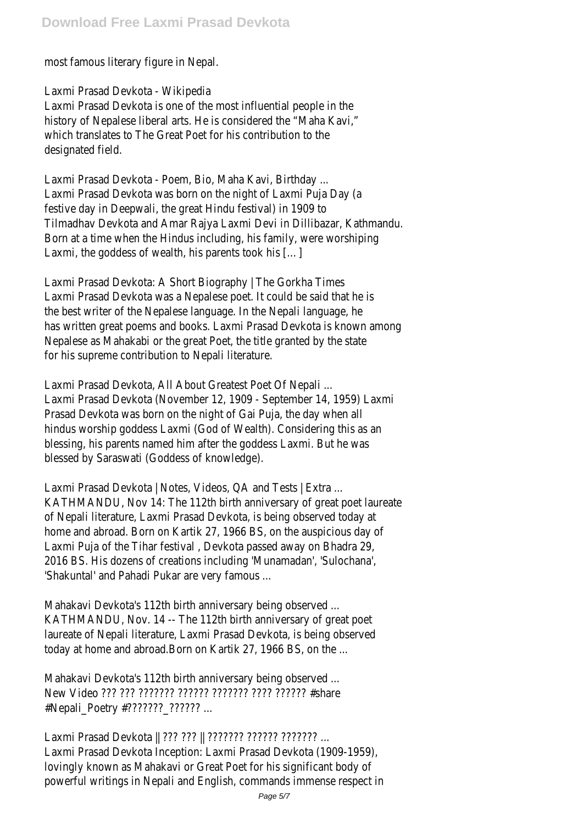most famous literary figure in Nepal.

Laxmi Prasad Devkota - Wikipedia

Laxmi Prasad Devkota is one of the most influential people in the history of Nepalese liberal arts. He is considered the "Maha Kavi," which translates to The Great Poet for his contribution to the designated field.

Laxmi Prasad Devkota - Poem, Bio, Maha Kavi, Birthday ... Laxmi Prasad Devkota was born on the night of Laxmi Puja Day (a festive day in Deepwali, the great Hindu festival) in 1909 to Tilmadhav Devkota and Amar Rajya Laxmi Devi in Dillibazar, Kathmandu. Born at a time when the Hindus including, his family, were worshiping Laxmi, the goddess of wealth, his parents took his […]

Laxmi Prasad Devkota: A Short Biography | The Gorkha Times Laxmi Prasad Devkota was a Nepalese poet. It could be said that he is the best writer of the Nepalese language. In the Nepali language, he has written great poems and books. Laxmi Prasad Devkota is known among Nepalese as Mahakabi or the great Poet, the title granted by the state for his supreme contribution to Nepali literature.

Laxmi Prasad Devkota, All About Greatest Poet Of Nepali ... Laxmi Prasad Devkota (November 12, 1909 - September 14, 1959) Laxmi Prasad Devkota was born on the night of Gai Puja, the day when all hindus worship goddess Laxmi (God of Wealth). Considering this as an blessing, his parents named him after the goddess Laxmi. But he was blessed by Saraswati (Goddess of knowledge).

Laxmi Prasad Devkota | Notes, Videos, QA and Tests | Extra ... KATHMANDU, Nov 14: The 112th birth anniversary of great poet laureate of Nepali literature, Laxmi Prasad Devkota, is being observed today at home and abroad. Born on Kartik 27, 1966 BS, on the auspicious day of Laxmi Puja of the Tihar festival , Devkota passed away on Bhadra 29, 2016 BS. His dozens of creations including 'Munamadan', 'Sulochana', 'Shakuntal' and Pahadi Pukar are very famous ...

Mahakavi Devkota's 112th birth anniversary being observed ... KATHMANDU, Nov. 14 -- The 112th birth anniversary of great poet laureate of Nepali literature, Laxmi Prasad Devkota, is being observed today at home and abroad.Born on Kartik 27, 1966 BS, on the ...

Mahakavi Devkota's 112th birth anniversary being observed ... New Video ??? ??? ??????? ?????? ??????? ???? ?????? #share #Nepali\_Poetry #??????? \_??????? ...

Laxmi Prasad Devkota || ??? ??? || ??????? ?????? ??????? ... Laxmi Prasad Devkota Inception: Laxmi Prasad Devkota (1909-1959), lovingly known as Mahakavi or Great Poet for his significant body of powerful writings in Nepali and English, commands immense respect in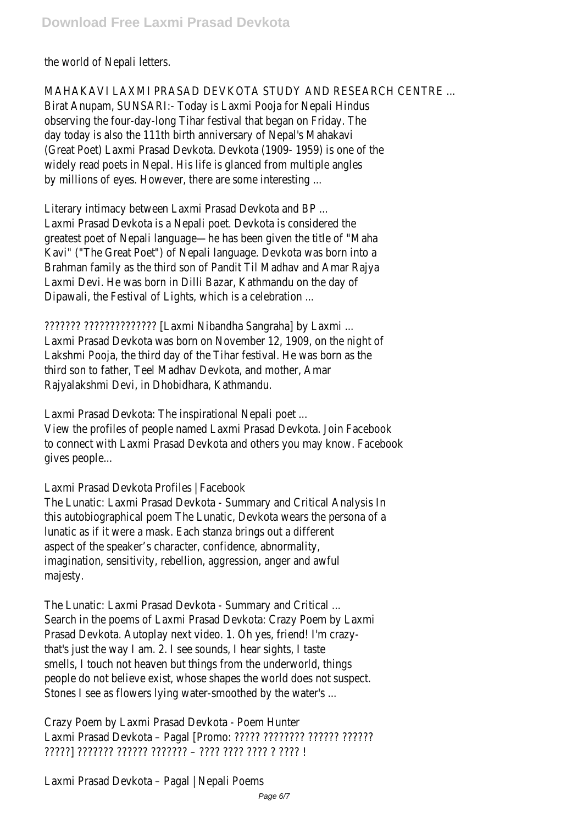the world of Nepali letters.

MAHAKAVI LAXMI PRASAD DEVKOTA STUDY AND RESEARCH CENTRE ... Birat Anupam, SUNSARI:- Today is Laxmi Pooja for Nepali Hindus observing the four-day-long Tihar festival that began on Friday. The day today is also the 111th birth anniversary of Nepal's Mahakavi (Great Poet) Laxmi Prasad Devkota. Devkota (1909- 1959) is one of the widely read poets in Nepal. His life is glanced from multiple angles by millions of eyes. However, there are some interesting ...

Literary intimacy between Laxmi Prasad Devkota and BP ... Laxmi Prasad Devkota is a Nepali poet. Devkota is considered the greatest poet of Nepali language—he has been given the title of "Maha Kavi" ("The Great Poet") of Nepali language. Devkota was born into a Brahman family as the third son of Pandit Til Madhav and Amar Rajya Laxmi Devi. He was born in Dilli Bazar, Kathmandu on the day of Dipawali, the Festival of Lights, which is a celebration ...

??????? ?????????????? [Laxmi Nibandha Sangraha] by Laxmi ... Laxmi Prasad Devkota was born on November 12, 1909, on the night of Lakshmi Pooja, the third day of the Tihar festival. He was born as the third son to father, Teel Madhav Devkota, and mother, Amar Rajyalakshmi Devi, in Dhobidhara, Kathmandu.

Laxmi Prasad Devkota: The inspirational Nepali poet ... View the profiles of people named Laxmi Prasad Devkota. Join Facebook to connect with Laxmi Prasad Devkota and others you may know. Facebook gives people...

Laxmi Prasad Devkota Profiles | Facebook

The Lunatic: Laxmi Prasad Devkota - Summary and Critical Analysis In this autobiographical poem The Lunatic, Devkota wears the persona of a lunatic as if it were a mask. Each stanza brings out a different aspect of the speaker's character, confidence, abnormality, imagination, sensitivity, rebellion, aggression, anger and awful majesty.

The Lunatic: Laxmi Prasad Devkota - Summary and Critical ... Search in the poems of Laxmi Prasad Devkota: Crazy Poem by Laxmi Prasad Devkota. Autoplay next video. 1. Oh yes, friend! I'm crazythat's just the way I am. 2. I see sounds, I hear sights, I taste smells, I touch not heaven but things from the underworld, things people do not believe exist, whose shapes the world does not suspect. Stones I see as flowers lying water-smoothed by the water's ...

Crazy Poem by Laxmi Prasad Devkota - Poem Hunter Laxmi Prasad Devkota – Pagal [Promo: ????? ???????? ?????? ?????? <u>ן יִמְיָר יִ יְמִיר יִמְיֹך יִמְיֹך – מְיַחְמְיךָ מְיַחְמִיך וְמִיחְיךָ בְּוֹ</u>